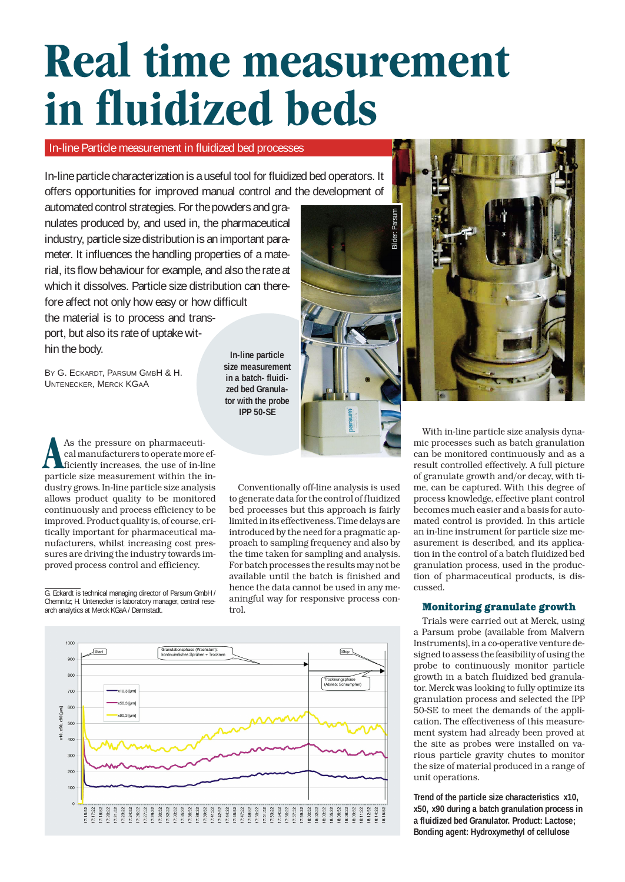# **Real time measurement in fluidized beds**

# In-line Particle measurement in fluidized bed processes

In-line particle characterization is a useful tool for fluidized bed operators. It offers opportunities for improved manual control and the development of

automated control strategies. For the powders and granulates produced by, and used in, the pharmaceutical industry, particle size distribution is an important parameter. It influences the handling properties of a material, its flow behaviour for example, and also the rate at which it dissolves. Particle size distribution can therefore affect not only how easy or how difficult the material is to process and transport, but also its rate of uptake within the body.

BY G. ECKARDT, PARSUM GMBH & H. UNTENECKER, MERCK KGAA

**In-line particle size measurement in a batch- fluidized bed Granulator with the probe IPP 50-SE**

As the pressure on pharmaceuti-<br>cal manufacturers to operate more<br>ficiently increases, the use of in-li<br>particle size measurement within the cal manufacturers to operate more efficiently increases, the use of in-line particle size measurement within the industry grows. In-line particle size analysis allows product quality to be monitored continuously and process efficiency to be improved. Product quality is, of course, critically important for pharmaceutical manufacturers, whilst increasing cost pressures are driving the industry towards improved process control and efficiency.

introduced by the need for a pragmatic approach to sampling frequency and also by the time taken for sampling and analysis. For batch processes the results may not be available until the batch is finished and hence the data cannot be used in any meaningful way for responsive process control.

Conventionally off-line analysis is used to generate data for the control of fluidized bed processes but this approach is fairly limited in its effectiveness. Time delays are





With in-line particle size analysis dynamic processes such as batch granulation can be monitored continuously and as a result controlled effectively. A full picture of granulate growth and/or decay, with time, can be captured. With this degree of process knowledge, effective plant control becomes much easier and a basis for automated control is provided. In this article an in-line instrument for particle size measurement is described, and its application in the control of a batch fluidized bed granulation process, used in the production of pharmaceutical products, is discussed.

## **Monitoring granulate growth**

Trials were carried out at Merck, using a Parsum probe (available from Malvern Instruments), in a co-operative venture designed to assess the feasibility of using the probe to continuously monitor particle growth in a batch fluidized bed granulator. Merck was looking to fully optimize its granulation process and selected the IPP 50-SE to meet the demands of the application. The effectiveness of this measurement system had already been proved at the site as probes were installed on various particle gravity chutes to monitor the size of material produced in a range of unit operations.

**Trend of the particle size characteristics x10, x50, x90 during a batch granulation process in a fluidized bed Granulator. Product: Lactose; Bonding agent: Hydroxymethyl of cellulose**

#### G. Eckardt is technical managing director of Parsum GmbH / Chemnitz; H. Untenecker is laboratory manager, central research analytics at Merck KGaA / Darmstadt.